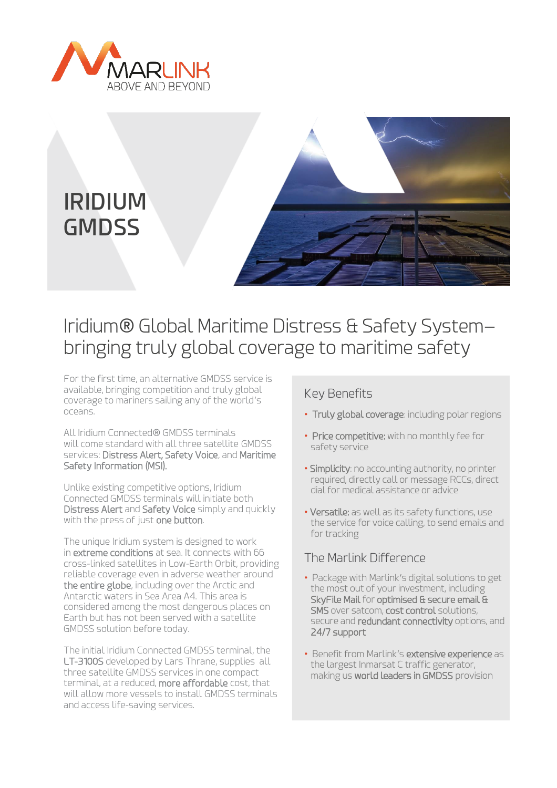



# Iridium® Global Maritime Distress & Safety System– bringing truly global coverage to maritime safety

For the first time, an alternative GMDSS service is available, bringing competition and truly global coverage to mariners sailing any of the world's oceans.

All Iridium Connected® GMDSS terminals will come standard with all three satellite GMDSS services: Distress Alert, Safety Voice, and Maritime Safety Information (MSI).

Unlike existing competitive options, Iridium Connected GMDSS terminals will initiate both Distress Alert and Safety Voice simply and quickly with the press of just one button.

The unique Iridium system is designed to work in extreme conditions at sea. It connects with 66 cross-linked satellites in Low-Earth Orbit, providing reliable coverage even in adverse weather around the entire globe, including over the Arctic and Antarctic waters in Sea Area A4. This area is considered among the most dangerous places on Earth but has not been served with a satellite GMDSS solution before today.

The initial Iridium Connected GMDSS terminal, the LT-3100S developed by Lars Thrane, supplies all three satellite GMDSS services in one compact terminal, at a reduced, more affordable cost, that will allow more vessels to install GMDSS terminals and access life-saving services.

## Key Benefits

- Truly global coverage: including polar regions
- Price competitive: with no monthly fee for safety service
- Simplicity: no accounting authority, no printer required, directly call or message RCCs, direct dial for medical assistance or advice
- Versatile: as well as its safety functions, use the service for voice calling, to send emails and for tracking

# The Marlink Difference

- Package with Marlink's digital solutions to get the most out of your investment, including SkyFile Mail for optimised & secure email & SMS over satcom, cost control solutions, secure and **redundant connectivity** options, and 24/7 support
- Benefit from Marlink's extensive experience as the largest Inmarsat C traffic generator, making us world leaders in GMDSS provision